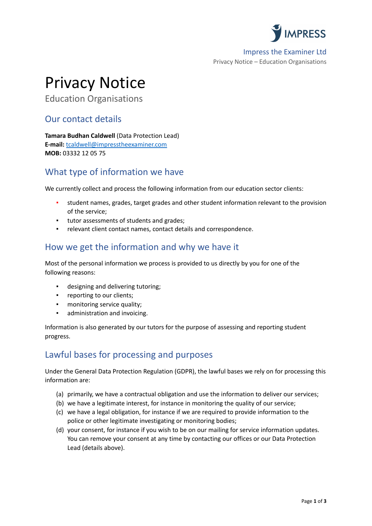

Impress the Examiner Ltd Privacy Notice – Education Organisations

# Privacy Notice

Education Organisations

### Our contact details

**Tamara Budhan Caldwell** (Data Protection Lead) **E-mail:** [tcaldwell@impresstheexaminer.com](mailto:tcaldwell@impresstheexaminer.com) **MOB:** 03332 12 05 75

# What type of information we have

We currently collect and process the following information from our education sector clients:

- student names, grades, target grades and other student information relevant to the provision of the service;
- tutor assessments of students and grades;
- relevant client contact names, contact details and correspondence.

### How we get the information and why we have it

Most of the personal information we process is provided to us directly by you for one of the following reasons:

- designing and delivering tutoring;
- reporting to our clients;
- monitoring service quality;
- administration and invoicing.

Information is also generated by our tutors for the purpose of assessing and reporting student progress.

## Lawful bases for processing and purposes

Under the General Data Protection Regulation (GDPR), the lawful bases we rely on for processing this information are:

- (a) primarily, we have a contractual obligation and use the information to deliver our services;
- (b) we have a legitimate interest, for instance in monitoring the quality of our service;
- (c) we have a legal obligation, for instance if we are required to provide information to the police or other legitimate investigating or monitoring bodies;
- (d) your consent, for instance if you wish to be on our mailing for service information updates. You can remove your consent at any time by contacting our offices or our Data Protection Lead (details above).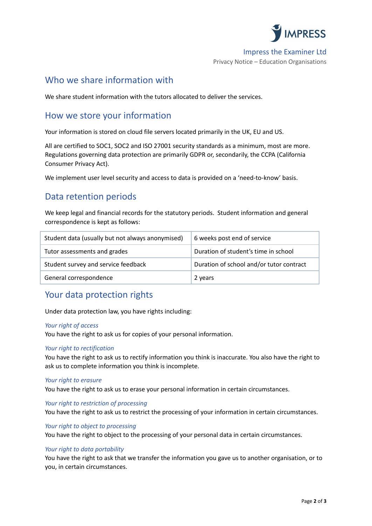

#### Impress the Examiner Ltd

Privacy Notice – Education Organisations

### Who we share information with

We share student information with the tutors allocated to deliver the services.

### How we store your information

Your information is stored on cloud file servers located primarily in the UK, EU and US.

All are certified to SOC1, SOC2 and ISO 27001 security standards as a minimum, most are more. Regulations governing data protection are primarily GDPR or, secondarily, the CCPA (California Consumer Privacy Act).

We implement user level security and access to data is provided on a 'need-to-know' basis.

### Data retention periods

We keep legal and financial records for the statutory periods. Student information and general correspondence is kept as follows:

| Student data (usually but not always anonymised) | 6 weeks post end of service              |
|--------------------------------------------------|------------------------------------------|
| Tutor assessments and grades                     | Duration of student's time in school     |
| Student survey and service feedback              | Duration of school and/or tutor contract |
| General correspondence                           | 2 years                                  |

### Your data protection rights

Under data protection law, you have rights including:

#### *Your right of access*

You have the right to ask us for copies of your personal information.

#### *Your right to rectification*

You have the right to ask us to rectify information you think is inaccurate. You also have the right to ask us to complete information you think is incomplete.

#### *Your right to erasure*

You have the right to ask us to erase your personal information in certain circumstances.

#### *Your right to restriction of processing*

You have the right to ask us to restrict the processing of your information in certain circumstances.

#### *Your right to object to processing*

You have the right to object to the processing of your personal data in certain circumstances.

#### *Your right to data portability*

You have the right to ask that we transfer the information you gave us to another organisation, or to you, in certain circumstances.